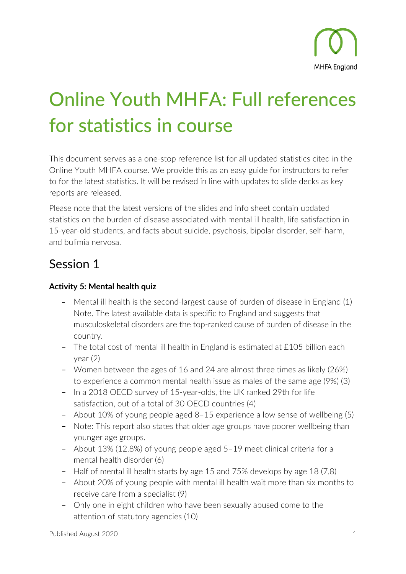# Online Youth MHFA: Full references for statistics in course

This document serves as a one-stop reference list for all updated statistics cited in the Online Youth MHFA course. We provide this as an easy guide for instructors to refer to for the latest statistics. It will be revised in line with updates to slide decks as key reports are released.

Please note that the latest versions of the slides and info sheet contain updated statistics on the burden of disease associated with mental ill health, life satisfaction in 15-year-old students, and facts about suicide, psychosis, bipolar disorder, self-harm, and bulimia nervosa.

# Session 1

## **Activity 5: Mental health quiz**

- Mental ill health is the second-largest cause of burden of disease in England (1) Note. The latest available data is specific to England and suggests that musculoskeletal disorders are the top-ranked cause of burden of disease in the country.
- The total cost of mental ill health in England is estimated at £105 billion each year (2)
- Women between the ages of 16 and 24 are almost three times as likely (26%) to experience a common mental health issue as males of the same age (9%) (3)
- In a 2018 OECD survey of 15-year-olds, the UK ranked 29th for life satisfaction, out of a total of 30 OECD countries (4)
- About 10% of young people aged 8–15 experience a low sense of wellbeing (5)
- Note: This report also states that older age groups have poorer wellbeing than younger age groups.
- About 13% (12.8%) of young people aged 5–19 meet clinical criteria for a mental health disorder (6)
- Half of mental ill health starts by age 15 and 75% develops by age 18 (7,8)
- About 20% of young people with mental ill health wait more than six months to receive care from a specialist (9)
- Only one in eight children who have been sexually abused come to the attention of statutory agencies (10)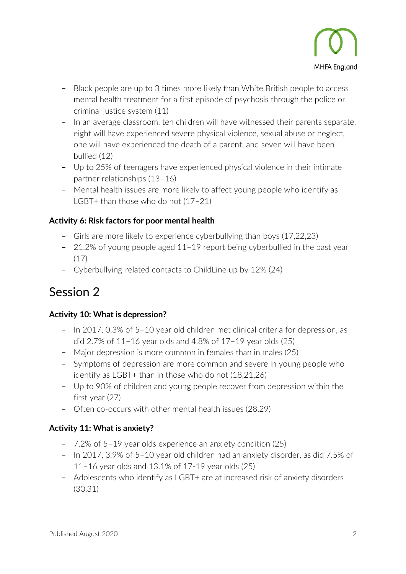

- Black people are up to 3 times more likely than White British people to access mental health treatment for a first episode of psychosis through the police or criminal justice system (11)
- In an average classroom, ten children will have witnessed their parents separate, eight will have experienced severe physical violence, sexual abuse or neglect, one will have experienced the death of a parent, and seven will have been bullied (12)
- Up to 25% of teenagers have experienced physical violence in their intimate partner relationships (13–16)
- Mental health issues are more likely to affect young people who identify as LGBT+ than those who do not (17–21)

## **Activity 6: Risk factors for poor mental health**

- Girls are more likely to experience cyberbullying than boys (17,22,23)
- 21.2% of young people aged 11–19 report being cyberbullied in the past year (17)
- Cyberbullying-related contacts to ChildLine up by 12% (24)

# Session 2

## **Activity 10: What is depression?**

- In 2017, 0.3% of 5–10 year old children met clinical criteria for depression, as did 2.7% of 11–16 year olds and 4.8% of 17–19 year olds (25)
- Major depression is more common in females than in males (25)
- Symptoms of depression are more common and severe in young people who identify as LGBT+ than in those who do not (18,21,26)
- Up to 90% of children and young people recover from depression within the first year (27)
- Often co-occurs with other mental health issues (28,29)

## **Activity 11: What is anxiety?**

- 7.2% of 5–19 year olds experience an anxiety condition (25)
- In 2017, 3.9% of 5–10 year old children had an anxiety disorder, as did 7.5% of 11–16 year olds and 13.1% of 17-19 year olds (25)
- Adolescents who identify as LGBT+ are at increased risk of anxiety disorders (30,31)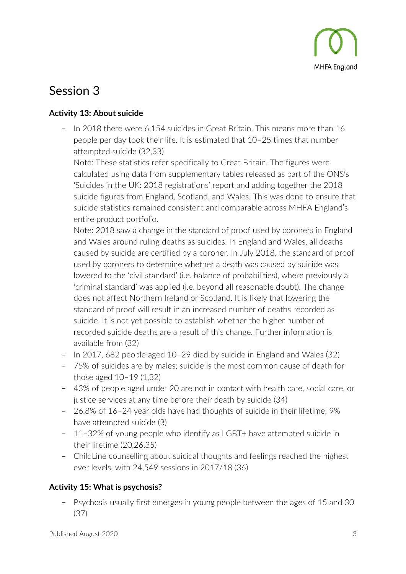

# Session 3

## **Activity 13: About suicide**

– In 2018 there were 6,154 suicides in Great Britain. This means more than 16 people per day took their life. It is estimated that 10–25 times that number attempted suicide (32,33)

Note: These statistics refer specifically to Great Britain. The figures were calculated using data from supplementary tables released as part of the ONS's 'Suicides in the UK: 2018 registrations' report and adding together the 2018 suicide figures from England, Scotland, and Wales. This was done to ensure that suicide statistics remained consistent and comparable across MHFA England's entire product portfolio.

Note: 2018 saw a change in the standard of proof used by coroners in England and Wales around ruling deaths as suicides. In England and Wales, all deaths caused by suicide are certified by a coroner. In July 2018, the standard of proof used by coroners to determine whether a death was caused by suicide was lowered to the 'civil standard' (i.e. balance of probabilities), where previously a 'criminal standard' was applied (i.e. beyond all reasonable doubt). The change does not affect Northern Ireland or Scotland. It is likely that lowering the standard of proof will result in an increased number of deaths recorded as suicide. It is not yet possible to establish whether the higher number of recorded suicide deaths are a result of this change. Further information is available from (32)

- In 2017, 682 people aged 10–29 died by suicide in England and Wales (32)
- 75% of suicides are by males; suicide is the most common cause of death for those aged 10–19 (1,32)
- 43% of people aged under 20 are not in contact with health care, social care, or justice services at any time before their death by suicide (34)
- 26.8% of 16–24 year olds have had thoughts of suicide in their lifetime; 9% have attempted suicide (3)
- 11–32% of young people who identify as LGBT+ have attempted suicide in their lifetime (20,26,35)
- ChildLine counselling about suicidal thoughts and feelings reached the highest ever levels, with 24,549 sessions in 2017/18 (36)

## **Activity 15: What is psychosis?**

– Psychosis usually first emerges in young people between the ages of 15 and 30 (37)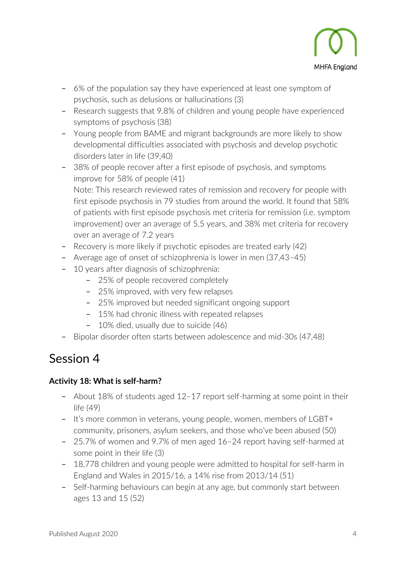

- 6% of the population say they have experienced at least one symptom of psychosis, such as delusions or hallucinations (3)
- Research suggests that 9.8% of children and young people have experienced symptoms of psychosis (38)
- Young people from BAME and migrant backgrounds are more likely to show developmental difficulties associated with psychosis and develop psychotic disorders later in life (39,40)
- 38% of people recover after a first episode of psychosis, and symptoms improve for 58% of people (41) Note: This research reviewed rates of remission and recovery for people with first episode psychosis in 79 studies from around the world. It found that 58% of patients with first episode psychosis met criteria for remission (i.e. symptom improvement) over an average of 5.5 years, and 38% met criteria for recovery over an average of 7.2 years
- Recovery is more likely if psychotic episodes are treated early (42)
- Average age of onset of schizophrenia is lower in men (37,43–45)
- 10 years after diagnosis of schizophrenia:
	- 25% of people recovered completely
	- 25% improved, with very few relapses
	- 25% improved but needed significant ongoing support
	- 15% had chronic illness with repeated relapses
	- 10% died, usually due to suicide (46)
- Bipolar disorder often starts between adolescence and mid-30s (47,48)

# Session 4

## **Activity 18: What is self-harm?**

- About 18% of students aged 12–17 report self-harming at some point in their life (49)
- It's more common in veterans, young people, women, members of LGBT+ community, prisoners, asylum seekers, and those who've been abused (50)
- 25.7% of women and 9.7% of men aged 16–24 report having self-harmed at some point in their life (3)
- 18,778 children and young people were admitted to hospital for self-harm in England and Wales in 2015/16, a 14% rise from 2013/14 (51)
- Self-harming behaviours can begin at any age, but commonly start between ages 13 and 15 (52)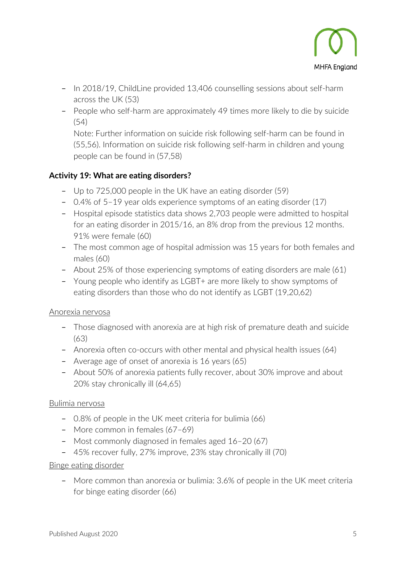

- In 2018/19, ChildLine provided 13,406 counselling sessions about self-harm across the UK (53)
- People who self-harm are approximately 49 times more likely to die by suicide (54)

Note: Further information on suicide risk following self-harm can be found in (55,56). Information on suicide risk following self-harm in children and young people can be found in (57,58)

## **Activity 19: What are eating disorders?**

- Up to 725,000 people in the UK have an eating disorder (59)
- 0.4% of 5–19 year olds experience symptoms of an eating disorder (17)
- Hospital episode statistics data shows 2,703 people were admitted to hospital for an eating disorder in 2015/16, an 8% drop from the previous 12 months. 91% were female (60)
- The most common age of hospital admission was 15 years for both females and males (60)
- About 25% of those experiencing symptoms of eating disorders are male (61)
- Young people who identify as LGBT+ are more likely to show symptoms of eating disorders than those who do not identify as LGBT (19,20,62)

#### Anorexia nervosa

- Those diagnosed with anorexia are at high risk of premature death and suicide (63)
- Anorexia often co-occurs with other mental and physical health issues (64)
- Average age of onset of anorexia is 16 years (65)
- About 50% of anorexia patients fully recover, about 30% improve and about 20% stay chronically ill (64,65)

#### Bulimia nervosa

- 0.8% of people in the UK meet criteria for bulimia (66)
- More common in females (67–69)
- Most commonly diagnosed in females aged 16–20 (67)
- 45% recover fully, 27% improve, 23% stay chronically ill (70)

#### Binge eating disorder

– More common than anorexia or bulimia: 3.6% of people in the UK meet criteria for binge eating disorder (66)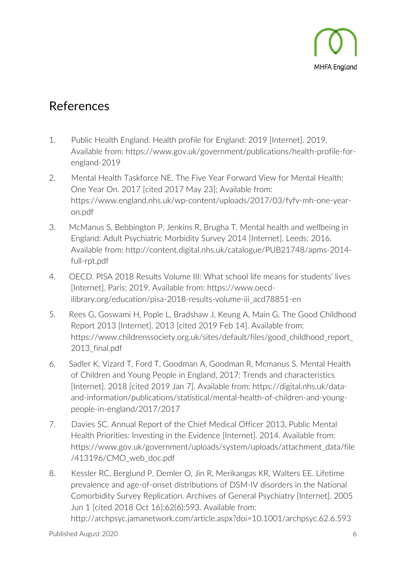

## References

- 1. Public Health England. Health profile for England: 2019 [Internet]. 2019. Available from: [https://www.gov.uk/government/publications/health-profile-for](https://www.gov.uk/government/publications/health-profile-for-england-2019)[england-2019](https://www.gov.uk/government/publications/health-profile-for-england-2019)
- 2. Mental Health Taskforce NE. The Five Year Forward View for Mental Health: One Year On. 2017 [cited 2017 May 23]; Available from: [https://www.england.nhs.uk/wp-content/uploads/2017/03/fyfv-mh-one-year](https://www.england.nhs.uk/wp-content/uploads/2017/03/fyfv-mh-one-year-on.pdf)[on.pdf](https://www.england.nhs.uk/wp-content/uploads/2017/03/fyfv-mh-one-year-on.pdf)
- 3. McManus S, Bebbington P, Jenkins R, Brugha T. Mental health and wellbeing in England: Adult Psychiatric Morbidity Survey 2014 [Internet]. Leeds; 2016. Available from: [http://content.digital.nhs.uk/catalogue/PUB21748/apms-2014](http://content.digital.nhs.uk/catalogue/PUB21748/apms-2014-full-rpt.pdf) [full-rpt.pdf](http://content.digital.nhs.uk/catalogue/PUB21748/apms-2014-full-rpt.pdf)
- 4. OECD. PISA 2018 Results Volume III: What school life means for students' lives [Internet]. Paris; 2019. Available from: [https://www.oecd](https://www.oecd-ilibrary.org/education/pisa-2018-results-volume-iii_acd78851-en)[ilibrary.org/education/pisa-2018-results-volume-iii\\_acd78851-en](https://www.oecd-ilibrary.org/education/pisa-2018-results-volume-iii_acd78851-en)
- 5. Rees G, Goswami H, Pople L, Bradshaw J, Keung A, Main G. The Good Childhood Report 2013 [Internet]. 2013 [cited 2019 Feb 14]. Available from: [https://www.childrenssociety.org.uk/sites/default/files/good\\_childhood\\_report\\_](https://www.childrenssociety.org.uk/sites/default/files/good_childhood_report_2013_final.pdf) [2013\\_final.pdf](https://www.childrenssociety.org.uk/sites/default/files/good_childhood_report_2013_final.pdf)
- 6. Sadler K, Vizard T, Ford T, Goodman A, Goodman R, Mcmanus S. Mental Health of Children and Young People in England, 2017: Trends and characteristics [Internet]. 2018 [cited 2019 Jan 7]. Available from: [https://digital.nhs.uk/data](https://digital.nhs.uk/data-and-information/publications/statistical/mental-health-of-children-and-young-people-in-england/2017/2017)[and-information/publications/statistical/mental-health-of-children-and-young](https://digital.nhs.uk/data-and-information/publications/statistical/mental-health-of-children-and-young-people-in-england/2017/2017)[people-in-england/2017/2017](https://digital.nhs.uk/data-and-information/publications/statistical/mental-health-of-children-and-young-people-in-england/2017/2017)
- 7. Davies SC. Annual Report of the Chief Medical Officer 2013, Public Mental Health Priorities: Investing in the Evidence [Internet]. 2014. Available from: [https://www.gov.uk/government/uploads/system/uploads/attachment\\_data/file](https://www.gov.uk/government/uploads/system/uploads/attachment_data/file/413196/CMO_web_doc.pdf) [/413196/CMO\\_web\\_doc.pdf](https://www.gov.uk/government/uploads/system/uploads/attachment_data/file/413196/CMO_web_doc.pdf)
- 8. Kessler RC, Berglund P, Demler O, Jin R, Merikangas KR, Walters EE. Lifetime prevalence and age-of-onset distributions of DSM-IV disorders in the National Comorbidity Survey Replication. Archives of General Psychiatry [Internet]. 2005 Jun 1 [cited 2018 Oct 16];62(6):593. Available from: <http://archpsyc.jamanetwork.com/article.aspx?doi=10.1001/archpsyc.62.6.593>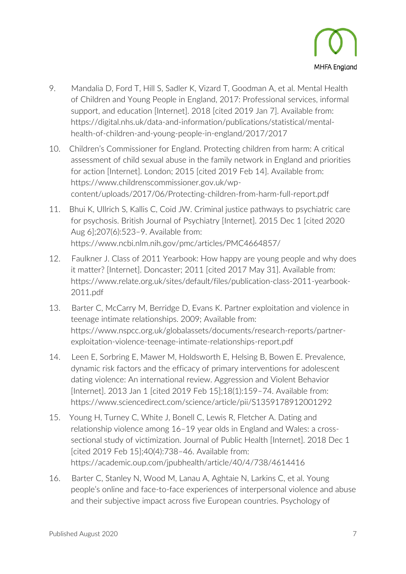

- 9. Mandalia D, Ford T, Hill S, Sadler K, Vizard T, Goodman A, et al. Mental Health of Children and Young People in England, 2017: Professional services, informal support, and education [Internet]. 2018 [cited 2019 Jan 7]. Available from: [https://digital.nhs.uk/data-and-information/publications/statistical/mental](https://digital.nhs.uk/data-and-information/publications/statistical/mental-health-of-children-and-young-people-in-england/2017/2017)[health-of-children-and-young-people-in-england/2017/2017](https://digital.nhs.uk/data-and-information/publications/statistical/mental-health-of-children-and-young-people-in-england/2017/2017)
- 10. Children's Commissioner for England. Protecting children from harm: A critical assessment of child sexual abuse in the family network in England and priorities for action [Internet]. London; 2015 [cited 2019 Feb 14]. Available from: [https://www.childrenscommissioner.gov.uk/wp](https://www.childrenscommissioner.gov.uk/wp-content/uploads/2017/06/Protecting-children-from-harm-full-report.pdf)[content/uploads/2017/06/Protecting-children-from-harm-full-report.pdf](https://www.childrenscommissioner.gov.uk/wp-content/uploads/2017/06/Protecting-children-from-harm-full-report.pdf)
- 11. Bhui K, Ullrich S, Kallis C, Coid JW. Criminal justice pathways to psychiatric care for psychosis. British Journal of Psychiatry [Internet]. 2015 Dec 1 [cited 2020 Aug 6];207(6):523–9. Available from: <https://www.ncbi.nlm.nih.gov/pmc/articles/PMC4664857/>
- 12. Faulkner J. Class of 2011 Yearbook: How happy are young people and why does it matter? [Internet]. Doncaster; 2011 [cited 2017 May 31]. Available from: [https://www.relate.org.uk/sites/default/files/publication-class-2011-yearbook-](https://www.relate.org.uk/sites/default/files/publication-class-2011-yearbook-2011.pdf)[2011.pdf](https://www.relate.org.uk/sites/default/files/publication-class-2011-yearbook-2011.pdf)
- 13. Barter C, McCarry M, Berridge D, Evans K. Partner exploitation and violence in teenage intimate relationships. 2009; Available from: [https://www.nspcc.org.uk/globalassets/documents/research-reports/partner](https://www.nspcc.org.uk/globalassets/documents/research-reports/partner-exploitation-violence-teenage-intimate-relationships-report.pdf)[exploitation-violence-teenage-intimate-relationships-report.pdf](https://www.nspcc.org.uk/globalassets/documents/research-reports/partner-exploitation-violence-teenage-intimate-relationships-report.pdf)
- 14. Leen E, Sorbring E, Mawer M, Holdsworth E, Helsing B, Bowen E. Prevalence, dynamic risk factors and the efficacy of primary interventions for adolescent dating violence: An international review. Aggression and Violent Behavior [Internet]. 2013 Jan 1 [cited 2019 Feb 15];18(1):159–74. Available from: <https://www.sciencedirect.com/science/article/pii/S1359178912001292>
- 15. Young H, Turney C, White J, Bonell C, Lewis R, Fletcher A. Dating and relationship violence among 16–19 year olds in England and Wales: a crosssectional study of victimization. Journal of Public Health [Internet]. 2018 Dec 1 [cited 2019 Feb 15];40(4):738–46. Available from: <https://academic.oup.com/jpubhealth/article/40/4/738/4614416>
- 16. Barter C, Stanley N, Wood M, Lanau A, Aghtaie N, Larkins C, et al. Young people's online and face-to-face experiences of interpersonal violence and abuse and their subjective impact across five European countries. Psychology of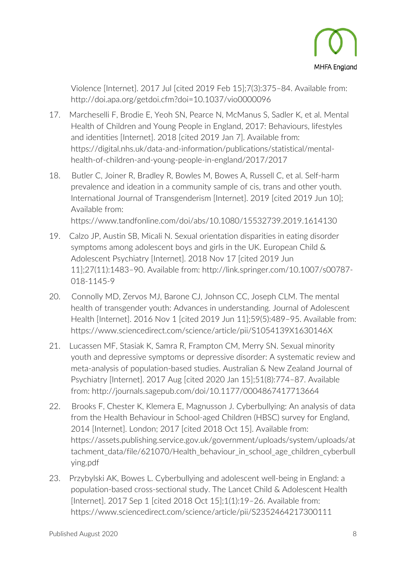

Violence [Internet]. 2017 Jul [cited 2019 Feb 15];7(3):375–84. Available from: <http://doi.apa.org/getdoi.cfm?doi=10.1037/vio0000096>

- 17. Marcheselli F, Brodie E, Yeoh SN, Pearce N, McManus S, Sadler K, et al. Mental Health of Children and Young People in England, 2017: Behaviours, lifestyles and identities [Internet]. 2018 [cited 2019 Jan 7]. Available from: [https://digital.nhs.uk/data-and-information/publications/statistical/mental](https://digital.nhs.uk/data-and-information/publications/statistical/mental-health-of-children-and-young-people-in-england/2017/2017)[health-of-children-and-young-people-in-england/2017/2017](https://digital.nhs.uk/data-and-information/publications/statistical/mental-health-of-children-and-young-people-in-england/2017/2017)
- 18. Butler C, Joiner R, Bradley R, Bowles M, Bowes A, Russell C, et al. Self-harm prevalence and ideation in a community sample of cis, trans and other youth. International Journal of Transgenderism [Internet]. 2019 [cited 2019 Jun 10]; Available from: <https://www.tandfonline.com/doi/abs/10.1080/15532739.2019.1614130>
- 19. Calzo JP, Austin SB, Micali N. Sexual orientation disparities in eating disorder symptoms among adolescent boys and girls in the UK. European Child & Adolescent Psychiatry [Internet]. 2018 Nov 17 [cited 2019 Jun 11];27(11):1483–90. Available from: [http://link.springer.com/10.1007/s00787-](http://link.springer.com/10.1007/s00787-018-1145-9) [018-1145-9](http://link.springer.com/10.1007/s00787-018-1145-9)
- 20. Connolly MD, Zervos MJ, Barone CJ, Johnson CC, Joseph CLM. The mental health of transgender youth: Advances in understanding. Journal of Adolescent Health [Internet]. 2016 Nov 1 [cited 2019 Jun 11];59(5):489–95. Available from: <https://www.sciencedirect.com/science/article/pii/S1054139X1630146X>
- 21. Lucassen MF, Stasiak K, Samra R, Frampton CM, Merry SN. Sexual minority youth and depressive symptoms or depressive disorder: A systematic review and meta-analysis of population-based studies. Australian & New Zealand Journal of Psychiatry [Internet]. 2017 Aug [cited 2020 Jan 15];51(8):774–87. Available from:<http://journals.sagepub.com/doi/10.1177/0004867417713664>
- 22. Brooks F, Chester K, Klemera E, Magnusson J. Cyberbullying: An analysis of data from the Health Behaviour in School-aged Children (HBSC) survey for England, 2014 [Internet]. London; 2017 [cited 2018 Oct 15]. Available from: [https://assets.publishing.service.gov.uk/government/uploads/system/uploads/at](https://assets.publishing.service.gov.uk/government/uploads/system/uploads/attachment_data/file/621070/Health_behaviour_in_school_age_children_cyberbullying.pdf) tachment data/file/621070/Health\_behaviour\_in\_school\_age\_children\_cyberbull\_ [ying.pdf](https://assets.publishing.service.gov.uk/government/uploads/system/uploads/attachment_data/file/621070/Health_behaviour_in_school_age_children_cyberbullying.pdf)
- 23. Przybylski AK, Bowes L. Cyberbullying and adolescent well-being in England: a population-based cross-sectional study. The Lancet Child & Adolescent Health [Internet]. 2017 Sep 1 [cited 2018 Oct 15];1(1):19–26. Available from: <https://www.sciencedirect.com/science/article/pii/S2352464217300111>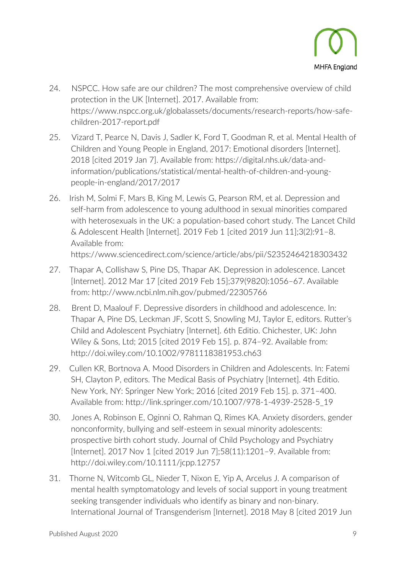

- 24. NSPCC. How safe are our children? The most comprehensive overview of child protection in the UK [Internet]. 2017. Available from: [https://www.nspcc.org.uk/globalassets/documents/research-reports/how-safe](https://www.nspcc.org.uk/globalassets/documents/research-reports/how-safe-children-2017-report.pdf)[children-2017-report.pdf](https://www.nspcc.org.uk/globalassets/documents/research-reports/how-safe-children-2017-report.pdf)
- 25. Vizard T, Pearce N, Davis J, Sadler K, Ford T, Goodman R, et al. Mental Health of Children and Young People in England, 2017: Emotional disorders [Internet]. 2018 [cited 2019 Jan 7]. Available from: [https://digital.nhs.uk/data-and](https://digital.nhs.uk/data-and-information/publications/statistical/mental-health-of-children-and-young-people-in-england/2017/2017)[information/publications/statistical/mental-health-of-children-and-young](https://digital.nhs.uk/data-and-information/publications/statistical/mental-health-of-children-and-young-people-in-england/2017/2017)[people-in-england/2017/2017](https://digital.nhs.uk/data-and-information/publications/statistical/mental-health-of-children-and-young-people-in-england/2017/2017)
- 26. Irish M, Solmi F, Mars B, King M, Lewis G, Pearson RM, et al. Depression and self-harm from adolescence to young adulthood in sexual minorities compared with heterosexuals in the UK: a population-based cohort study. The Lancet Child & Adolescent Health [Internet]. 2019 Feb 1 [cited 2019 Jun 11];3(2):91–8. Available from:

<https://www.sciencedirect.com/science/article/abs/pii/S2352464218303432>

- 27. Thapar A, Collishaw S, Pine DS, Thapar AK. Depression in adolescence. Lancet [Internet]. 2012 Mar 17 [cited 2019 Feb 15];379(9820):1056–67. Available from:<http://www.ncbi.nlm.nih.gov/pubmed/22305766>
- 28. Brent D, Maalouf F. Depressive disorders in childhood and adolescence. In: Thapar A, Pine DS, Leckman JF, Scott S, Snowling MJ, Taylor E, editors. Rutter's Child and Adolescent Psychiatry [Internet]. 6th Editio. Chichester, UK: John Wiley & Sons, Ltd; 2015 [cited 2019 Feb 15]. p. 874–92. Available from: <http://doi.wiley.com/10.1002/9781118381953.ch63>
- 29. Cullen KR, Bortnova A. Mood Disorders in Children and Adolescents. In: Fatemi SH, Clayton P, editors. The Medical Basis of Psychiatry [Internet]. 4th Editio. New York, NY: Springer New York; 2016 [cited 2019 Feb 15]. p. 371–400. Available from: [http://link.springer.com/10.1007/978-1-4939-2528-5\\_19](http://link.springer.com/10.1007/978-1-4939-2528-5_19)
- 30. Jones A, Robinson E, Oginni O, Rahman Q, Rimes KA. Anxiety disorders, gender nonconformity, bullying and self-esteem in sexual minority adolescents: prospective birth cohort study. Journal of Child Psychology and Psychiatry [Internet]. 2017 Nov 1 [cited 2019 Jun 7];58(11):1201–9. Available from: <http://doi.wiley.com/10.1111/jcpp.12757>
- 31. Thorne N, Witcomb GL, Nieder T, Nixon E, Yip A, Arcelus J. A comparison of mental health symptomatology and levels of social support in young treatment seeking transgender individuals who identify as binary and non-binary. International Journal of Transgenderism [Internet]. 2018 May 8 [cited 2019 Jun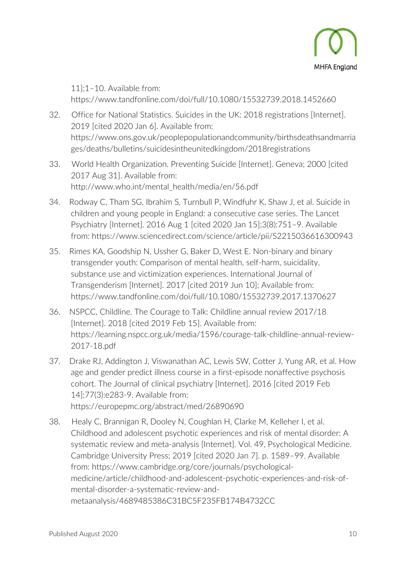

11];1–10. Available from: <https://www.tandfonline.com/doi/full/10.1080/15532739.2018.1452660>

- 32. Office for National Statistics. Suicides in the UK: 2018 registrations [Internet]. 2019 [cited 2020 Jan 6]. Available from: [https://www.ons.gov.uk/peoplepopulationandcommunity/birthsdeathsandmarria](https://www.ons.gov.uk/peoplepopulationandcommunity/birthsdeathsandmarriages/deaths/bulletins/suicidesintheunitedkingdom/2018registrations) [ges/deaths/bulletins/suicidesintheunitedkingdom/2018registrations](https://www.ons.gov.uk/peoplepopulationandcommunity/birthsdeathsandmarriages/deaths/bulletins/suicidesintheunitedkingdom/2018registrations)
- 33. World Health Organization. Preventing Suicide [Internet]. Geneva; 2000 [cited 2017 Aug 31]. Available from: [http://www.who.int/mental\\_health/media/en/56.pdf](http://www.who.int/mental_health/media/en/56.pdf)
- 34. Rodway C, Tham SG, Ibrahim S, Turnbull P, Windfuhr K, Shaw J, et al. Suicide in children and young people in England: a consecutive case series. The Lancet Psychiatry [Internet]. 2016 Aug 1 [cited 2020 Jan 15];3(8):751–9. Available from:<https://www.sciencedirect.com/science/article/pii/S2215036616300943>
- 35. Rimes KA, Goodship N, Ussher G, Baker D, West E. Non-binary and binary transgender youth: Comparison of mental health, self-harm, suicidality, substance use and victimization experiences. International Journal of Transgenderism [Internet]. 2017 [cited 2019 Jun 10]; Available from: <https://www.tandfonline.com/doi/full/10.1080/15532739.2017.1370627>
- 36. NSPCC, Childline. The Courage to Talk: Childline annual review 2017/18 [Internet]. 2018 [cited 2019 Feb 15]. Available from: [https://learning.nspcc.org.uk/media/1596/courage-talk-childline-annual-review-](https://learning.nspcc.org.uk/media/1596/courage-talk-childline-annual-review-2017-18.pdf)[2017-18.pdf](https://learning.nspcc.org.uk/media/1596/courage-talk-childline-annual-review-2017-18.pdf)
- 37. Drake RJ, Addington J, Viswanathan AC, Lewis SW, Cotter J, Yung AR, et al. How age and gender predict illness course in a first-episode nonaffective psychosis cohort. The Journal of clinical psychiatry [Internet]. 2016 [cited 2019 Feb 14];77(3):e283-9. Available from: <https://europepmc.org/abstract/med/26890690>
- 38. Healy C, Brannigan R, Dooley N, Coughlan H, Clarke M, Kelleher I, et al. Childhood and adolescent psychotic experiences and risk of mental disorder: A systematic review and meta-analysis [Internet]. Vol. 49, Psychological Medicine. Cambridge University Press; 2019 [cited 2020 Jan 7]. p. 1589–99. Available from: [https://www.cambridge.org/core/journals/psychological](https://www.cambridge.org/core/journals/psychological-medicine/article/childhood-and-adolescent-psychotic-experiences-and-risk-of-mental-disorder-a-systematic-review-and-metaanalysis/4689485386C31BC5F235FB174B4732CC)[medicine/article/childhood-and-adolescent-psychotic-experiences-and-risk-of](https://www.cambridge.org/core/journals/psychological-medicine/article/childhood-and-adolescent-psychotic-experiences-and-risk-of-mental-disorder-a-systematic-review-and-metaanalysis/4689485386C31BC5F235FB174B4732CC)[mental-disorder-a-systematic-review-and](https://www.cambridge.org/core/journals/psychological-medicine/article/childhood-and-adolescent-psychotic-experiences-and-risk-of-mental-disorder-a-systematic-review-and-metaanalysis/4689485386C31BC5F235FB174B4732CC)[metaanalysis/4689485386C31BC5F235FB174B4732CC](https://www.cambridge.org/core/journals/psychological-medicine/article/childhood-and-adolescent-psychotic-experiences-and-risk-of-mental-disorder-a-systematic-review-and-metaanalysis/4689485386C31BC5F235FB174B4732CC)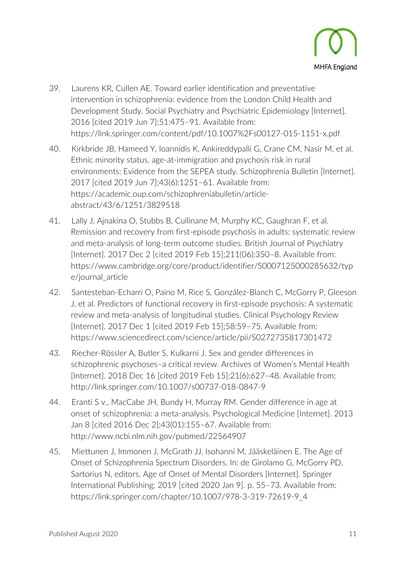

- 39. Laurens KR, Cullen AE. Toward earlier identification and preventative intervention in schizophrenia: evidence from the London Child Health and Development Study. Social Psychiatry and Psychiatric Epidemiology [Internet]. 2016 [cited 2019 Jun 7];51:475–91. Available from: <https://link.springer.com/content/pdf/10.1007%2Fs00127-015-1151-x.pdf>
- 40. Kirkbride JB, Hameed Y, Ioannidis K, Ankireddypalli G, Crane CM, Nasir M, et al. Ethnic minority status, age-at-immigration and psychosis risk in rural environments: Evidence from the SEPEA study. Schizophrenia Bulletin [Internet]. 2017 [cited 2019 Jun 7];43(6):1251–61. Available from: [https://academic.oup.com/schizophreniabulletin/article](https://academic.oup.com/schizophreniabulletin/article-abstract/43/6/1251/3829518)[abstract/43/6/1251/3829518](https://academic.oup.com/schizophreniabulletin/article-abstract/43/6/1251/3829518)
- 41. Lally J, Ajnakina O, Stubbs B, Cullinane M, Murphy KC, Gaughran F, et al. Remission and recovery from first-episode psychosis in adults: systematic review and meta-analysis of long-term outcome studies. British Journal of Psychiatry [Internet]. 2017 Dec 2 [cited 2019 Feb 15];211(06):350–8. Available from: [https://www.cambridge.org/core/product/identifier/S0007125000285632/typ](https://www.cambridge.org/core/product/identifier/S0007125000285632/type/journal_article) [e/journal\\_article](https://www.cambridge.org/core/product/identifier/S0007125000285632/type/journal_article)
- 42. Santesteban-Echarri O, Paino M, Rice S, González-Blanch C, McGorry P, Gleeson J, et al. Predictors of functional recovery in first-episode psychosis: A systematic review and meta-analysis of longitudinal studies. Clinical Psychology Review [Internet]. 2017 Dec 1 [cited 2019 Feb 15];58:59-75. Available from: <https://www.sciencedirect.com/science/article/pii/S0272735817301472>
- 43. Riecher-Rössler A, Butler S, Kulkarni J. Sex and gender differences in schizophrenic psychoses–a critical review. Archives of Women's Mental Health [Internet]. 2018 Dec 16 [cited 2019 Feb 15];21(6):627–48. Available from: <http://link.springer.com/10.1007/s00737-018-0847-9>
- 44. Eranti S v., MacCabe JH, Bundy H, Murray RM. Gender difference in age at onset of schizophrenia: a meta-analysis. Psychological Medicine [Internet]. 2013 Jan 8 [cited 2016 Dec 2];43(01):155–67. Available from: <http://www.ncbi.nlm.nih.gov/pubmed/22564907>
- 45. Miettunen J, Immonen J, McGrath JJ, Isohanni M, Jääskeläinen E. The Age of Onset of Schizophrenia Spectrum Disorders. In: de Girolamo G, McGorry PD, Sartorius N, editors. Age of Onset of Mental Disorders [Internet]. Springer International Publishing; 2019 [cited 2020 Jan 9]. p. 55–73. Available from: [https://link.springer.com/chapter/10.1007/978-3-319-72619-9\\_4](https://link.springer.com/chapter/10.1007/978-3-319-72619-9_4)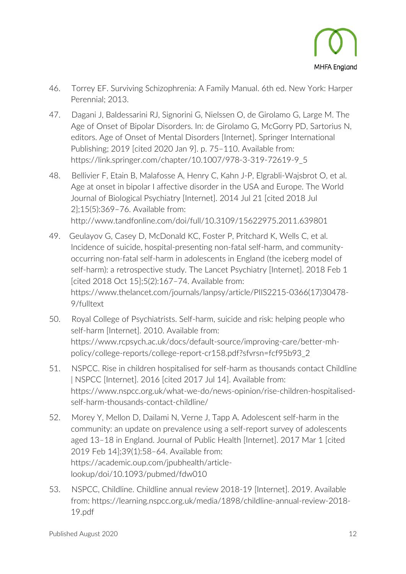

- 46. Torrey EF. Surviving Schizophrenia: A Family Manual. 6th ed. New York: Harper Perennial; 2013.
- 47. Dagani J, Baldessarini RJ, Signorini G, Nielssen O, de Girolamo G, Large M. The Age of Onset of Bipolar Disorders. In: de Girolamo G, McGorry PD, Sartorius N, editors. Age of Onset of Mental Disorders [Internet]. Springer International Publishing; 2019 [cited 2020 Jan 9]. p. 75–110. Available from: [https://link.springer.com/chapter/10.1007/978-3-319-72619-9\\_5](https://link.springer.com/chapter/10.1007/978-3-319-72619-9_5)
- 48. Bellivier F, Etain B, Malafosse A, Henry C, Kahn J-P, Elgrabli-Wajsbrot O, et al. Age at onset in bipolar I affective disorder in the USA and Europe. The World Journal of Biological Psychiatry [Internet]. 2014 Jul 21 [cited 2018 Jul 2];15(5):369–76. Available from: <http://www.tandfonline.com/doi/full/10.3109/15622975.2011.639801>
- 49. Geulayov G, Casey D, McDonald KC, Foster P, Pritchard K, Wells C, et al. Incidence of suicide, hospital-presenting non-fatal self-harm, and communityoccurring non-fatal self-harm in adolescents in England (the iceberg model of self-harm): a retrospective study. The Lancet Psychiatry [Internet]. 2018 Feb 1 [cited 2018 Oct 15];5(2):167–74. Available from: [https://www.thelancet.com/journals/lanpsy/article/PIIS2215-0366\(17\)30478-](https://www.thelancet.com/journals/lanpsy/article/PIIS2215-0366(17)30478-9/fulltext) [9/fulltext](https://www.thelancet.com/journals/lanpsy/article/PIIS2215-0366(17)30478-9/fulltext)
- 50. Royal College of Psychiatrists. Self-harm, suicide and risk: helping people who self-harm [Internet]. 2010. Available from: [https://www.rcpsych.ac.uk/docs/default-source/improving-care/better-mh](https://www.rcpsych.ac.uk/docs/default-source/improving-care/better-mh-policy/college-reports/college-report-cr158.pdf?sfvrsn=fcf95b93_2)[policy/college-reports/college-report-cr158.pdf?sfvrsn=fcf95b93\\_2](https://www.rcpsych.ac.uk/docs/default-source/improving-care/better-mh-policy/college-reports/college-report-cr158.pdf?sfvrsn=fcf95b93_2)
- 51. NSPCC. Rise in children hospitalised for self-harm as thousands contact Childline | NSPCC [Internet]. 2016 [cited 2017 Jul 14]. Available from: [https://www.nspcc.org.uk/what-we-do/news-opinion/rise-children-hospitalised](https://www.nspcc.org.uk/what-we-do/news-opinion/rise-children-hospitalised-self-harm-thousands-contact-childline/)[self-harm-thousands-contact-childline/](https://www.nspcc.org.uk/what-we-do/news-opinion/rise-children-hospitalised-self-harm-thousands-contact-childline/)
- 52. Morey Y, Mellon D, Dailami N, Verne J, Tapp A. Adolescent self-harm in the community: an update on prevalence using a self-report survey of adolescents aged 13–18 in England. Journal of Public Health [Internet]. 2017 Mar 1 [cited 2019 Feb 14];39(1):58–64. Available from: [https://academic.oup.com/jpubhealth/article](https://academic.oup.com/jpubhealth/article-lookup/doi/10.1093/pubmed/fdw010)[lookup/doi/10.1093/pubmed/fdw010](https://academic.oup.com/jpubhealth/article-lookup/doi/10.1093/pubmed/fdw010)
- 53. NSPCC, Childline. Childline annual review 2018-19 [Internet]. 2019. Available from: [https://learning.nspcc.org.uk/media/1898/childline-annual-review-2018-](https://learning.nspcc.org.uk/media/1898/childline-annual-review-2018-19.pdf) [19.pdf](https://learning.nspcc.org.uk/media/1898/childline-annual-review-2018-19.pdf)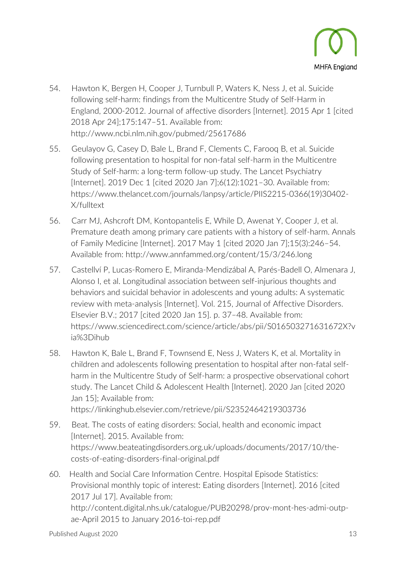

- 54. Hawton K, Bergen H, Cooper J, Turnbull P, Waters K, Ness J, et al. Suicide following self-harm: findings from the Multicentre Study of Self-Harm in England, 2000-2012. Journal of affective disorders [Internet]. 2015 Apr 1 [cited 2018 Apr 24];175:147–51. Available from: <http://www.ncbi.nlm.nih.gov/pubmed/25617686>
- 55. Geulayov G, Casey D, Bale L, Brand F, Clements C, Farooq B, et al. Suicide following presentation to hospital for non-fatal self-harm in the Multicentre Study of Self-harm: a long-term follow-up study. The Lancet Psychiatry [Internet]. 2019 Dec 1 [cited 2020 Jan 7];6(12):1021–30. Available from: [https://www.thelancet.com/journals/lanpsy/article/PIIS2215-0366\(19\)30402-](https://www.thelancet.com/journals/lanpsy/article/PIIS2215-0366(19)30402-X/fulltext) [X/fulltext](https://www.thelancet.com/journals/lanpsy/article/PIIS2215-0366(19)30402-X/fulltext)
- 56. Carr MJ, Ashcroft DM, Kontopantelis E, While D, Awenat Y, Cooper J, et al. Premature death among primary care patients with a history of self-harm. Annals of Family Medicine [Internet]. 2017 May 1 [cited 2020 Jan 7];15(3):246–54. Available from:<http://www.annfammed.org/content/15/3/246.long>
- 57. Castellví P, Lucas-Romero E, Miranda-Mendizábal A, Parés-Badell O, Almenara J, Alonso I, et al. Longitudinal association between self-injurious thoughts and behaviors and suicidal behavior in adolescents and young adults: A systematic review with meta-analysis [Internet]. Vol. 215, Journal of Affective Disorders. Elsevier B.V.; 2017 [cited 2020 Jan 15]. p. 37–48. Available from: [https://www.sciencedirect.com/science/article/abs/pii/S016503271631672X?v](https://www.sciencedirect.com/science/article/abs/pii/S016503271631672X?via%3Dihub) [ia%3Dihub](https://www.sciencedirect.com/science/article/abs/pii/S016503271631672X?via%3Dihub)
- 58. Hawton K, Bale L, Brand F, Townsend E, Ness J, Waters K, et al. Mortality in children and adolescents following presentation to hospital after non-fatal selfharm in the Multicentre Study of Self-harm: a prospective observational cohort study. The Lancet Child & Adolescent Health [Internet]. 2020 Jan [cited 2020 Jan 15]; Available from: <https://linkinghub.elsevier.com/retrieve/pii/S2352464219303736>
- 59. Beat. The costs of eating disorders: Social, health and economic impact [Internet]. 2015. Available from: [https://www.beateatingdisorders.org.uk/uploads/documents/2017/10/the](https://www.beateatingdisorders.org.uk/uploads/documents/2017/10/the-costs-of-eating-disorders-final-original.pdf)[costs-of-eating-disorders-final-original.pdf](https://www.beateatingdisorders.org.uk/uploads/documents/2017/10/the-costs-of-eating-disorders-final-original.pdf)
- 60. Health and Social Care Information Centre. Hospital Episode Statistics: Provisional monthly topic of interest: Eating disorders [Internet]. 2016 [cited 2017 Jul 17]. Available from: [http://content.digital.nhs.uk/catalogue/PUB20298/prov-mont-hes-admi-outp](http://content.digital.nhs.uk/catalogue/PUB20298/prov-mont-hes-admi-outp-ae-April%202015%20to%20January%202016-toi-rep.pdf)[ae-April 2015 to January 2016-toi-rep.pdf](http://content.digital.nhs.uk/catalogue/PUB20298/prov-mont-hes-admi-outp-ae-April%202015%20to%20January%202016-toi-rep.pdf)

Published August 2020 13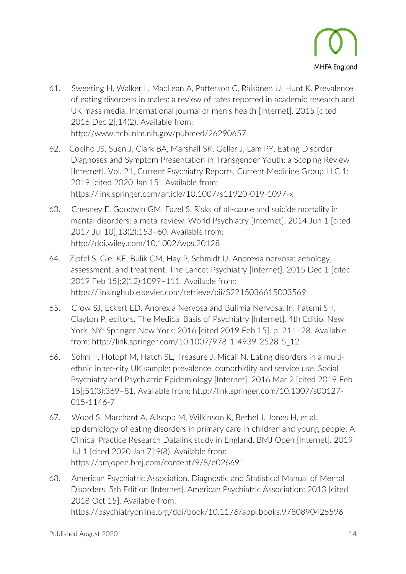

- 61. Sweeting H, Walker L, MacLean A, Patterson C, Räisänen U, Hunt K. Prevalence of eating disorders in males: a review of rates reported in academic research and UK mass media. International journal of men's health [Internet]. 2015 [cited 2016 Dec 2];14(2). Available from: <http://www.ncbi.nlm.nih.gov/pubmed/26290657>
- 62. Coelho JS, Suen J, Clark BA, Marshall SK, Geller J, Lam PY. Eating Disorder Diagnoses and Symptom Presentation in Transgender Youth: a Scoping Review [Internet]. Vol. 21, Current Psychiatry Reports. Current Medicine Group LLC 1; 2019 [cited 2020 Jan 15]. Available from: <https://link.springer.com/article/10.1007/s11920-019-1097-x>
- 63. Chesney E, Goodwin GM, Fazel S. Risks of all-cause and suicide mortality in mental disorders: a meta-review. World Psychiatry [Internet]. 2014 Jun 1 [cited 2017 Jul 10];13(2):153–60. Available from: <http://doi.wiley.com/10.1002/wps.20128>
- 64. Zipfel S, Giel KE, Bulik CM, Hay P, Schmidt U. Anorexia nervosa: aetiology, assessment, and treatment. The Lancet Psychiatry [Internet]. 2015 Dec 1 [cited 2019 Feb 15];2(12):1099–111. Available from: <https://linkinghub.elsevier.com/retrieve/pii/S2215036615003569>
- 65. Crow SJ, Eckert ED. Anorexia Nervosa and Bulimia Nervosa. In: Fatemi SH, Clayton P, editors. The Medical Basis of Psychiatry [Internet]. 4th Editio. New York, NY: Springer New York; 2016 [cited 2019 Feb 15]. p. 211–28. Available from: [http://link.springer.com/10.1007/978-1-4939-2528-5\\_12](http://link.springer.com/10.1007/978-1-4939-2528-5_12)
- 66. Solmi F, Hotopf M, Hatch SL, Treasure J, Micali N. Eating disorders in a multiethnic inner-city UK sample: prevalence, comorbidity and service use. Social Psychiatry and Psychiatric Epidemiology [Internet]. 2016 Mar 2 [cited 2019 Feb 15];51(3):369–81. Available from: [http://link.springer.com/10.1007/s00127-](http://link.springer.com/10.1007/s00127-015-1146-7) [015-1146-7](http://link.springer.com/10.1007/s00127-015-1146-7)
- 67. Wood S, Marchant A, Allsopp M, Wilkinson K, Bethel J, Jones H, et al. Epidemiology of eating disorders in primary care in children and young people: A Clinical Practice Research Datalink study in England. BMJ Open [Internet]. 2019 Jul 1 [cited 2020 Jan 7];9(8). Available from: <https://bmjopen.bmj.com/content/9/8/e026691>
- 68. American Psychiatric Association. Diagnostic and Statistical Manual of Mental Disorders, 5th Edition [Internet]. American Psychiatric Association; 2013 [cited 2018 Oct 15]. Available from: <https://psychiatryonline.org/doi/book/10.1176/appi.books.9780890425596>